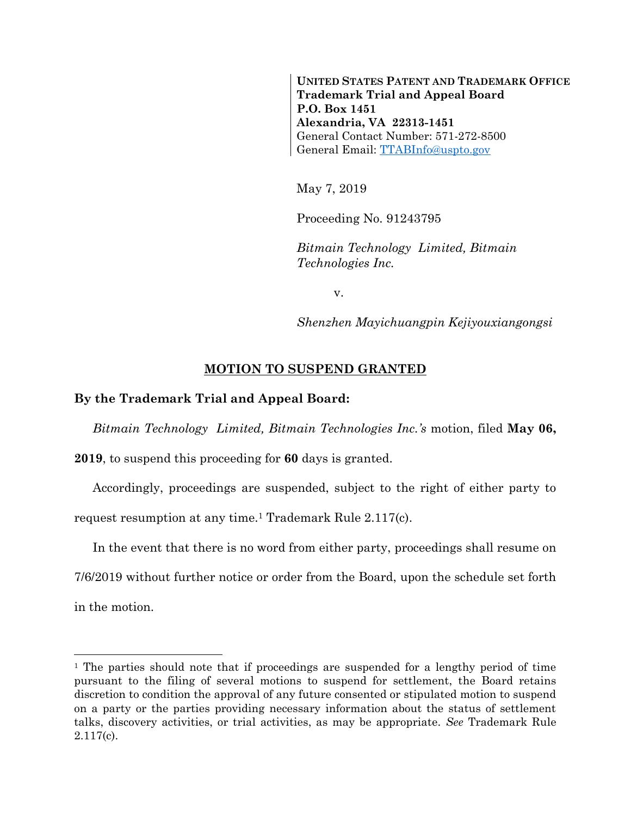**UNITED STATES PATENT AND TRADEMARK OFFICE Trademark Trial and Appeal Board P.O. Box 1451 Alexandria, VA 22313-1451** General Contact Number: 571-272-8500 General Email: [TTABInfo@uspto.gov](mailto:TTABInfo@uspto.gov)

May 7, 2019

Proceeding No. 91243795

*Bitmain Technology Limited, Bitmain Technologies Inc.*

v.

*Shenzhen Mayichuangpin Kejiyouxiangongsi*

## **MOTION TO SUSPEND GRANTED**

## **By the Trademark Trial and Appeal Board:**

l

*Bitmain Technology Limited, Bitmain Technologies Inc.'s* motion, filed **May 06,** 

**2019**, to suspend this proceeding for **60** days is granted.

Accordingly, proceedings are suspended, subject to the right of either party to request resumption at any time.<sup>1</sup> Trademark Rule 2.117(c).

In the event that there is no word from either party, proceedings shall resume on 7/6/2019 without further notice or order from the Board, upon the schedule set forth in the motion.

<sup>&</sup>lt;sup>1</sup> The parties should note that if proceedings are suspended for a lengthy period of time pursuant to the filing of several motions to suspend for settlement, the Board retains discretion to condition the approval of any future consented or stipulated motion to suspend on a party or the parties providing necessary information about the status of settlement talks, discovery activities, or trial activities, as may be appropriate. *See* Trademark Rule 2.117(c).